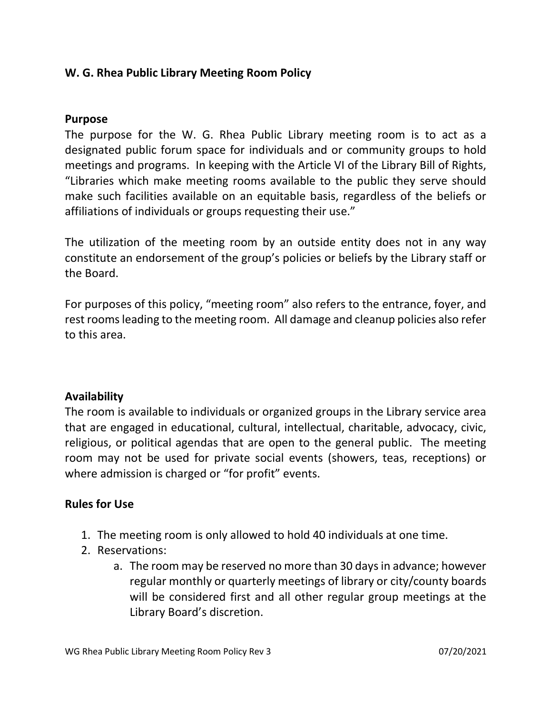# W. G. Rhea Public Library Meeting Room Policy

### Purpose

The purpose for the W. G. Rhea Public Library meeting room is to act as a designated public forum space for individuals and or community groups to hold meetings and programs. In keeping with the Article VI of the Library Bill of Rights, "Libraries which make meeting rooms available to the public they serve should make such facilities available on an equitable basis, regardless of the beliefs or affiliations of individuals or groups requesting their use."

The utilization of the meeting room by an outside entity does not in any way constitute an endorsement of the group's policies or beliefs by the Library staff or the Board.

For purposes of this policy, "meeting room" also refers to the entrance, foyer, and rest rooms leading to the meeting room. All damage and cleanup policies also refer to this area.

### Availability

The room is available to individuals or organized groups in the Library service area that are engaged in educational, cultural, intellectual, charitable, advocacy, civic, religious, or political agendas that are open to the general public. The meeting room may not be used for private social events (showers, teas, receptions) or where admission is charged or "for profit" events.

# Rules for Use

- 1. The meeting room is only allowed to hold 40 individuals at one time.
- 2. Reservations:
	- a. The room may be reserved no more than 30 days in advance; however regular monthly or quarterly meetings of library or city/county boards will be considered first and all other regular group meetings at the Library Board's discretion.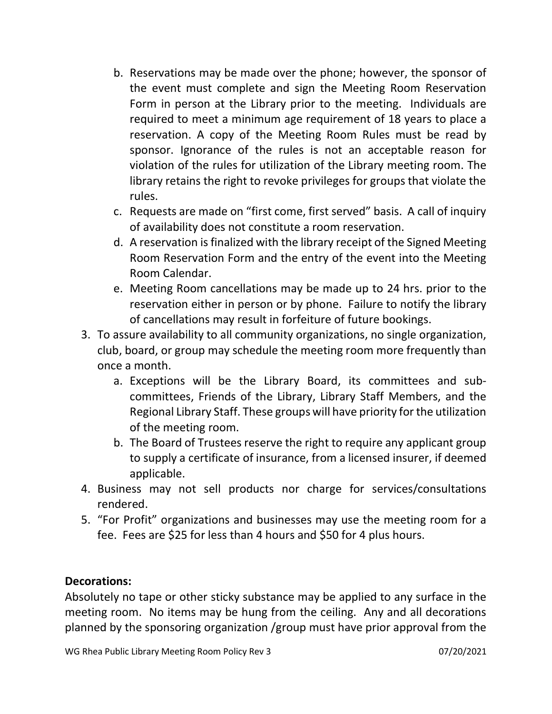- b. Reservations may be made over the phone; however, the sponsor of the event must complete and sign the Meeting Room Reservation Form in person at the Library prior to the meeting. Individuals are required to meet a minimum age requirement of 18 years to place a reservation. A copy of the Meeting Room Rules must be read by sponsor. Ignorance of the rules is not an acceptable reason for violation of the rules for utilization of the Library meeting room. The library retains the right to revoke privileges for groups that violate the rules.
- c. Requests are made on "first come, first served" basis. A call of inquiry of availability does not constitute a room reservation.
- d. A reservation is finalized with the library receipt of the Signed Meeting Room Reservation Form and the entry of the event into the Meeting Room Calendar.
- e. Meeting Room cancellations may be made up to 24 hrs. prior to the reservation either in person or by phone. Failure to notify the library of cancellations may result in forfeiture of future bookings.
- 3. To assure availability to all community organizations, no single organization, club, board, or group may schedule the meeting room more frequently than once a month.
	- a. Exceptions will be the Library Board, its committees and subcommittees, Friends of the Library, Library Staff Members, and the Regional Library Staff. These groups will have priority for the utilization of the meeting room.
	- b. The Board of Trustees reserve the right to require any applicant group to supply a certificate of insurance, from a licensed insurer, if deemed applicable.
- 4. Business may not sell products nor charge for services/consultations rendered.
- 5. "For Profit" organizations and businesses may use the meeting room for a fee. Fees are \$25 for less than 4 hours and \$50 for 4 plus hours.

# Decorations:

Absolutely no tape or other sticky substance may be applied to any surface in the meeting room. No items may be hung from the ceiling. Any and all decorations planned by the sponsoring organization /group must have prior approval from the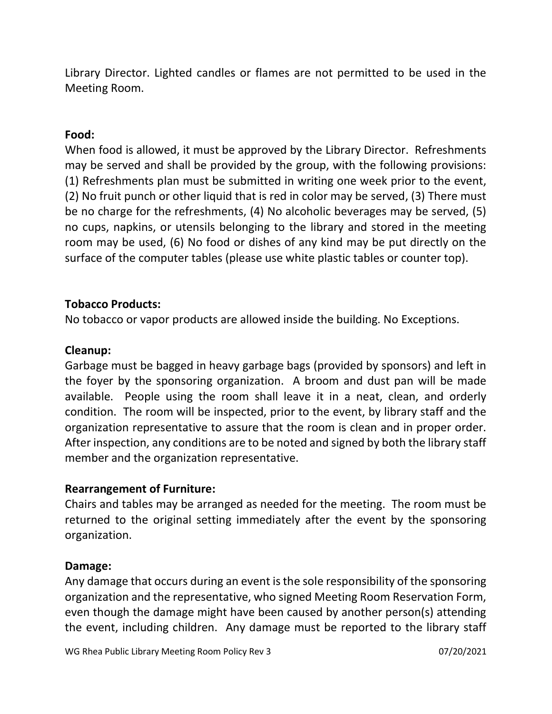Library Director. Lighted candles or flames are not permitted to be used in the Meeting Room.

## Food:

When food is allowed, it must be approved by the Library Director. Refreshments may be served and shall be provided by the group, with the following provisions: (1) Refreshments plan must be submitted in writing one week prior to the event, (2) No fruit punch or other liquid that is red in color may be served, (3) There must be no charge for the refreshments, (4) No alcoholic beverages may be served, (5) no cups, napkins, or utensils belonging to the library and stored in the meeting room may be used, (6) No food or dishes of any kind may be put directly on the surface of the computer tables (please use white plastic tables or counter top).

### Tobacco Products:

No tobacco or vapor products are allowed inside the building. No Exceptions.

## Cleanup:

Garbage must be bagged in heavy garbage bags (provided by sponsors) and left in the foyer by the sponsoring organization. A broom and dust pan will be made available. People using the room shall leave it in a neat, clean, and orderly condition. The room will be inspected, prior to the event, by library staff and the organization representative to assure that the room is clean and in proper order. After inspection, any conditions are to be noted and signed by both the library staff member and the organization representative.

### Rearrangement of Furniture:

Chairs and tables may be arranged as needed for the meeting. The room must be returned to the original setting immediately after the event by the sponsoring organization.

### Damage:

Any damage that occurs during an event is the sole responsibility of the sponsoring organization and the representative, who signed Meeting Room Reservation Form, even though the damage might have been caused by another person(s) attending the event, including children. Any damage must be reported to the library staff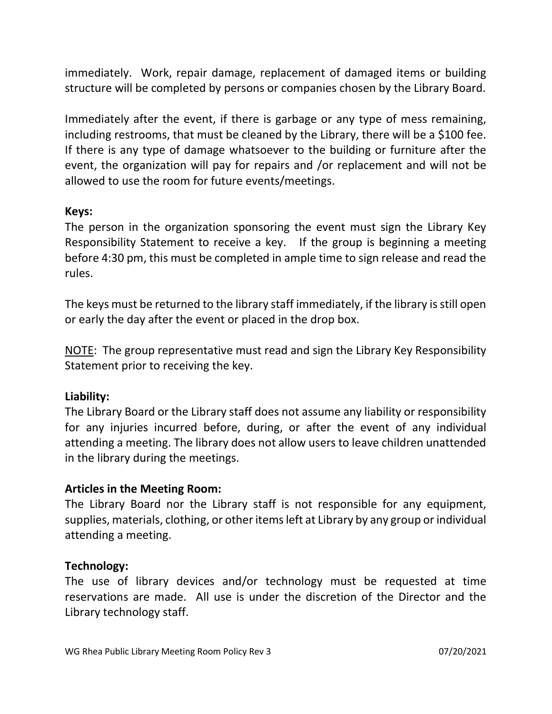immediately. Work, repair damage, replacement of damaged items or building structure will be completed by persons or companies chosen by the Library Board.

Immediately after the event, if there is garbage or any type of mess remaining, including restrooms, that must be cleaned by the Library, there will be a \$100 fee. If there is any type of damage whatsoever to the building or furniture after the event, the organization will pay for repairs and /or replacement and will not be allowed to use the room for future events/meetings.

### Keys:

The person in the organization sponsoring the event must sign the Library Key Responsibility Statement to receive a key. If the group is beginning a meeting before 4:30 pm, this must be completed in ample time to sign release and read the rules.

The keys must be returned to the library staff immediately, if the library is still open or early the day after the event or placed in the drop box.

NOTE: The group representative must read and sign the Library Key Responsibility Statement prior to receiving the key.

### Liability:

The Library Board or the Library staff does not assume any liability or responsibility for any injuries incurred before, during, or after the event of any individual attending a meeting. The library does not allow users to leave children unattended in the library during the meetings.

### Articles in the Meeting Room:

The Library Board nor the Library staff is not responsible for any equipment, supplies, materials, clothing, or other items left at Library by any group or individual attending a meeting.

#### Technology:

The use of library devices and/or technology must be requested at time reservations are made. All use is under the discretion of the Director and the Library technology staff.